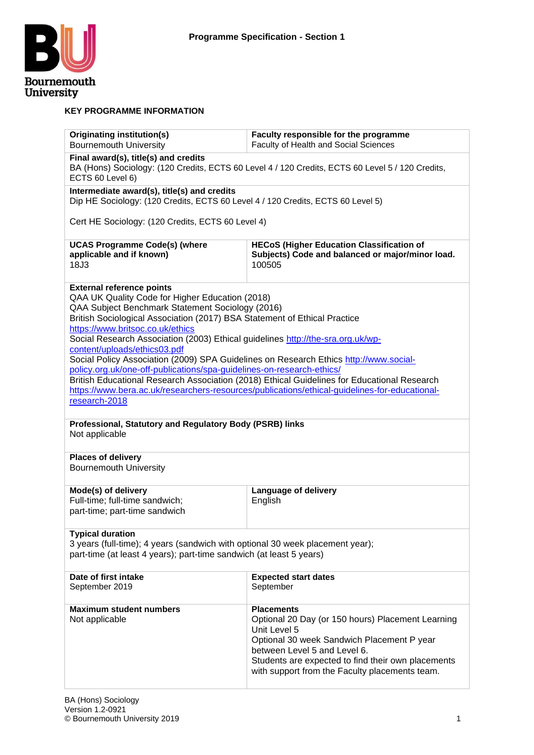

#### **KEY PROGRAMME INFORMATION**

| <b>Originating institution(s)</b><br><b>Bournemouth University</b>                                                                                                                                                                                                                                                                                                                                                                                                                                                                                                                                                                                                                                                                                             | Faculty responsible for the programme<br>Faculty of Health and Social Sciences                                                                                                                                                                                               |  |  |  |
|----------------------------------------------------------------------------------------------------------------------------------------------------------------------------------------------------------------------------------------------------------------------------------------------------------------------------------------------------------------------------------------------------------------------------------------------------------------------------------------------------------------------------------------------------------------------------------------------------------------------------------------------------------------------------------------------------------------------------------------------------------------|------------------------------------------------------------------------------------------------------------------------------------------------------------------------------------------------------------------------------------------------------------------------------|--|--|--|
| Final award(s), title(s) and credits<br>ECTS 60 Level 6)                                                                                                                                                                                                                                                                                                                                                                                                                                                                                                                                                                                                                                                                                                       | BA (Hons) Sociology: (120 Credits, ECTS 60 Level 4 / 120 Credits, ECTS 60 Level 5 / 120 Credits,                                                                                                                                                                             |  |  |  |
| Intermediate award(s), title(s) and credits<br>Dip HE Sociology: (120 Credits, ECTS 60 Level 4 / 120 Credits, ECTS 60 Level 5)                                                                                                                                                                                                                                                                                                                                                                                                                                                                                                                                                                                                                                 |                                                                                                                                                                                                                                                                              |  |  |  |
| Cert HE Sociology: (120 Credits, ECTS 60 Level 4)                                                                                                                                                                                                                                                                                                                                                                                                                                                                                                                                                                                                                                                                                                              |                                                                                                                                                                                                                                                                              |  |  |  |
| <b>UCAS Programme Code(s) (where</b><br>applicable and if known)<br>18J3                                                                                                                                                                                                                                                                                                                                                                                                                                                                                                                                                                                                                                                                                       | <b>HECoS (Higher Education Classification of</b><br>Subjects) Code and balanced or major/minor load.<br>100505                                                                                                                                                               |  |  |  |
| <b>External reference points</b><br>QAA UK Quality Code for Higher Education (2018)<br>QAA Subject Benchmark Statement Sociology (2016)<br>British Sociological Association (2017) BSA Statement of Ethical Practice<br>https://www.britsoc.co.uk/ethics<br>Social Research Association (2003) Ethical guidelines http://the-sra.org.uk/wp-<br>content/uploads/ethics03.pdf<br>Social Policy Association (2009) SPA Guidelines on Research Ethics http://www.social-<br>policy.org.uk/one-off-publications/spa-guidelines-on-research-ethics/<br>British Educational Research Association (2018) Ethical Guidelines for Educational Research<br>https://www.bera.ac.uk/researchers-resources/publications/ethical-guidelines-for-educational-<br>research-2018 |                                                                                                                                                                                                                                                                              |  |  |  |
| Professional, Statutory and Regulatory Body (PSRB) links<br>Not applicable                                                                                                                                                                                                                                                                                                                                                                                                                                                                                                                                                                                                                                                                                     |                                                                                                                                                                                                                                                                              |  |  |  |
| <b>Places of delivery</b><br><b>Bournemouth University</b>                                                                                                                                                                                                                                                                                                                                                                                                                                                                                                                                                                                                                                                                                                     |                                                                                                                                                                                                                                                                              |  |  |  |
| Mode(s) of delivery<br>Full-time; full-time sandwich;<br>part-time; part-time sandwich                                                                                                                                                                                                                                                                                                                                                                                                                                                                                                                                                                                                                                                                         | <b>Language of delivery</b><br>English                                                                                                                                                                                                                                       |  |  |  |
| <b>Typical duration</b><br>3 years (full-time); 4 years (sandwich with optional 30 week placement year);<br>part-time (at least 4 years); part-time sandwich (at least 5 years)                                                                                                                                                                                                                                                                                                                                                                                                                                                                                                                                                                                |                                                                                                                                                                                                                                                                              |  |  |  |
| Date of first intake<br>September 2019                                                                                                                                                                                                                                                                                                                                                                                                                                                                                                                                                                                                                                                                                                                         | <b>Expected start dates</b><br>September                                                                                                                                                                                                                                     |  |  |  |
| <b>Maximum student numbers</b><br>Not applicable                                                                                                                                                                                                                                                                                                                                                                                                                                                                                                                                                                                                                                                                                                               | <b>Placements</b><br>Optional 20 Day (or 150 hours) Placement Learning<br>Unit Level 5<br>Optional 30 week Sandwich Placement P year<br>between Level 5 and Level 6.<br>Students are expected to find their own placements<br>with support from the Faculty placements team. |  |  |  |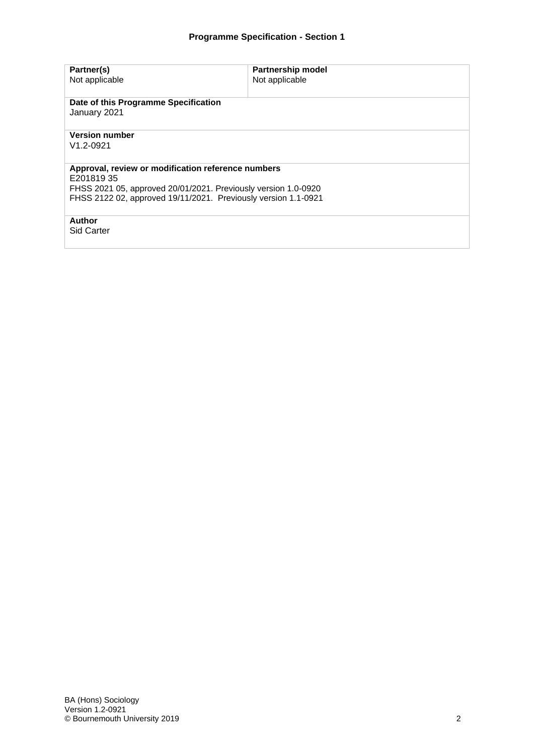| Partner(s)<br>Not applicable                                                                                                                                                                        | <b>Partnership model</b><br>Not applicable |  |  |  |  |
|-----------------------------------------------------------------------------------------------------------------------------------------------------------------------------------------------------|--------------------------------------------|--|--|--|--|
| Date of this Programme Specification<br>January 2021                                                                                                                                                |                                            |  |  |  |  |
| <b>Version number</b><br>$V1.2 - 0921$                                                                                                                                                              |                                            |  |  |  |  |
| Approval, review or modification reference numbers<br>E20181935<br>FHSS 2021 05, approved 20/01/2021. Previously version 1.0-0920<br>FHSS 2122 02, approved 19/11/2021. Previously version 1.1-0921 |                                            |  |  |  |  |
| Author<br><b>Sid Carter</b>                                                                                                                                                                         |                                            |  |  |  |  |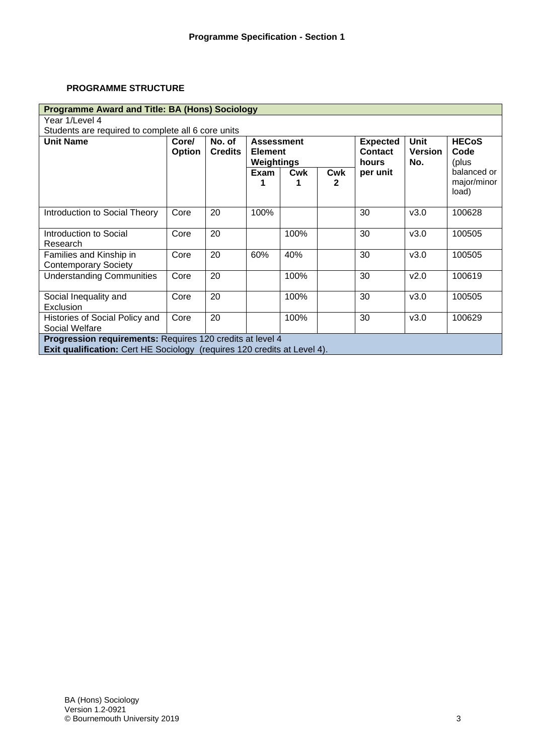# **PROGRAMME STRUCTURE**

| <b>Programme Award and Title: BA (Hons) Sociology</b>                                                                                        |                        |                                                                               |           |      |                                            |                                      |                               |                                     |
|----------------------------------------------------------------------------------------------------------------------------------------------|------------------------|-------------------------------------------------------------------------------|-----------|------|--------------------------------------------|--------------------------------------|-------------------------------|-------------------------------------|
| Year 1/Level 4                                                                                                                               |                        |                                                                               |           |      |                                            |                                      |                               |                                     |
| Students are required to complete all 6 core units                                                                                           |                        |                                                                               |           |      |                                            |                                      |                               |                                     |
| <b>Unit Name</b>                                                                                                                             | Core/<br><b>Option</b> | No. of<br><b>Assessment</b><br><b>Credits</b><br><b>Element</b><br>Weightings |           |      | <b>Expected</b><br><b>Contact</b><br>hours | <b>Unit</b><br><b>Version</b><br>No. | <b>HECoS</b><br>Code<br>(plus |                                     |
|                                                                                                                                              |                        |                                                                               | Exam<br>1 | Cwk  | Cwk<br>$\mathbf{2}$                        | per unit                             |                               | balanced or<br>major/minor<br>load) |
| Introduction to Social Theory                                                                                                                | Core                   | 20                                                                            | 100%      |      |                                            | 30                                   | v3.0                          | 100628                              |
| Introduction to Social<br>Research                                                                                                           | Core                   | 20                                                                            |           | 100% |                                            | 30                                   | v3.0                          | 100505                              |
| Families and Kinship in<br><b>Contemporary Society</b>                                                                                       | Core                   | 20                                                                            | 60%       | 40%  |                                            | 30                                   | v3.0                          | 100505                              |
| <b>Understanding Communities</b>                                                                                                             | Core                   | 20                                                                            |           | 100% |                                            | 30                                   | V <sub>2.0</sub>              | 100619                              |
| Social Inequality and<br>Exclusion                                                                                                           | Core                   | 20                                                                            |           | 100% |                                            | 30                                   | v3.0                          | 100505                              |
| Histories of Social Policy and<br>Social Welfare                                                                                             | Core                   | 20                                                                            |           | 100% |                                            | 30                                   | v3.0                          | 100629                              |
| Progression requirements: Requires 120 credits at level 4<br><b>Exit qualification:</b> Cert HE Sociology (requires 120 credits at Level 4). |                        |                                                                               |           |      |                                            |                                      |                               |                                     |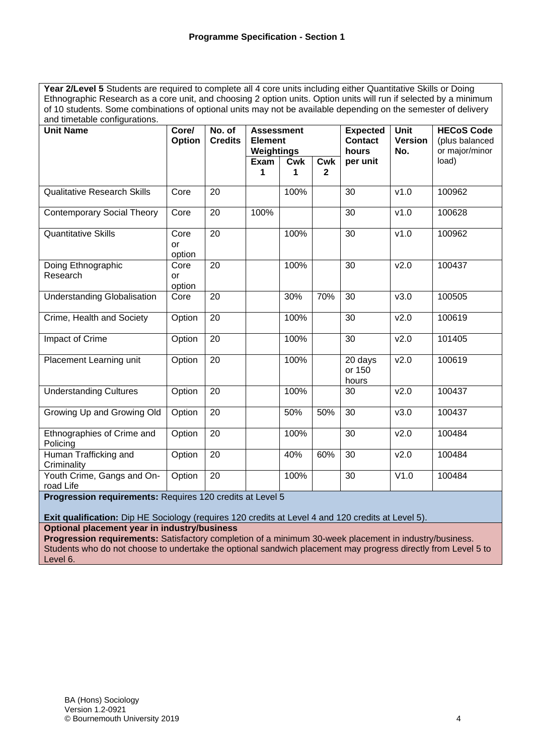Year 2/Level 5 Students are required to complete all 4 core units including either Quantitative Skills or Doing Ethnographic Research as a core unit, and choosing 2 option units. Option units will run if selected by a minimum of 10 students. Some combinations of optional units may not be available depending on the semester of delivery and timetable configurations.

| ana impliable cornigarations.           |                             |                          |                                                   |          |                                            |                                      |                                                       |        |
|-----------------------------------------|-----------------------------|--------------------------|---------------------------------------------------|----------|--------------------------------------------|--------------------------------------|-------------------------------------------------------|--------|
| <b>Unit Name</b>                        | Core/<br>Option             | No. of<br><b>Credits</b> | <b>Assessment</b><br><b>Element</b><br>Weightings |          | <b>Expected</b><br><b>Contact</b><br>hours | <b>Unit</b><br><b>Version</b><br>No. | <b>HECoS Code</b><br>(plus balanced<br>or major/minor |        |
|                                         |                             |                          | Exam<br>1                                         | Cwk<br>1 | <b>Cwk</b><br>$\mathbf{2}$                 | per unit                             |                                                       | load)  |
|                                         |                             |                          |                                                   |          |                                            |                                      |                                                       |        |
| <b>Qualitative Research Skills</b>      | Core                        | 20                       |                                                   | 100%     |                                            | 30                                   | v1.0                                                  | 100962 |
| <b>Contemporary Social Theory</b>       | Core                        | 20                       | 100%                                              |          |                                            | 30                                   | v1.0                                                  | 100628 |
| <b>Quantitative Skills</b>              | Core<br>or<br>option        | 20                       |                                                   | 100%     |                                            | 30                                   | v1.0                                                  | 100962 |
| Doing Ethnographic<br>Research          | Core<br><b>or</b><br>option | 20                       |                                                   | 100%     |                                            | 30                                   | v2.0                                                  | 100437 |
| <b>Understanding Globalisation</b>      | Core                        | 20                       |                                                   | 30%      | 70%                                        | 30                                   | v3.0                                                  | 100505 |
| Crime, Health and Society               | Option                      | 20                       |                                                   | 100%     |                                            | 30                                   | v2.0                                                  | 100619 |
| Impact of Crime                         | Option                      | $\overline{20}$          |                                                   | 100%     |                                            | 30                                   | v2.0                                                  | 101405 |
| Placement Learning unit                 | Option                      | 20                       |                                                   | 100%     |                                            | 20 days<br>or 150<br>hours           | v2.0                                                  | 100619 |
| <b>Understanding Cultures</b>           | Option                      | 20                       |                                                   | 100%     |                                            | 30                                   | v2.0                                                  | 100437 |
| Growing Up and Growing Old              | Option                      | 20                       |                                                   | 50%      | 50%                                        | 30                                   | v3.0                                                  | 100437 |
| Ethnographies of Crime and<br>Policing  | Option                      | 20                       |                                                   | 100%     |                                            | 30                                   | v2.0                                                  | 100484 |
| Human Trafficking and<br>Criminality    | Option                      | 20                       |                                                   | 40%      | 60%                                        | 30                                   | v2.0                                                  | 100484 |
| Youth Crime, Gangs and On-<br>road Life | Option                      | 20                       |                                                   | 100%     |                                            | 30                                   | V1.0                                                  | 100484 |

**Progression requirements:** Requires 120 credits at Level 5

**Exit qualification:** Dip HE Sociology (requires 120 credits at Level 4 and 120 credits at Level 5). **Optional placement year in industry/business**

**Progression requirements:** Satisfactory completion of a minimum 30-week placement in industry/business. Students who do not choose to undertake the optional sandwich placement may progress directly from Level 5 to Level 6.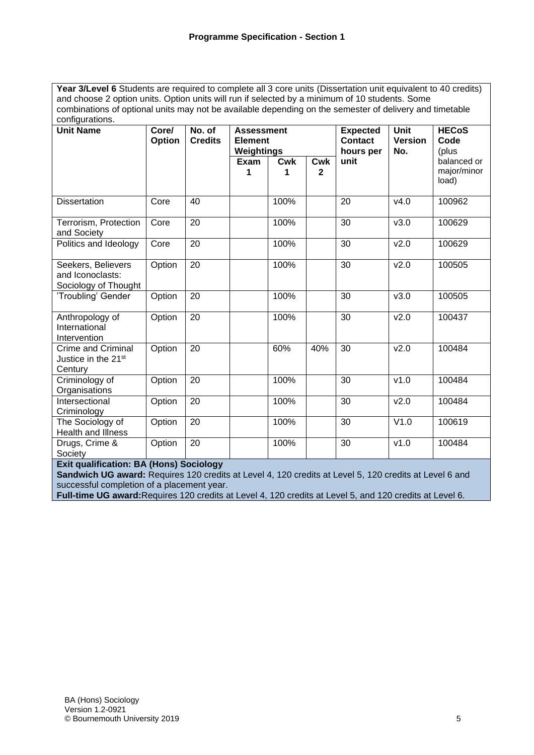Year 3/Level 6 Students are required to complete all 3 core units (Dissertation unit equivalent to 40 credits) and choose 2 option units. Option units will run if selected by a minimum of 10 students. Some combinations of optional units may not be available depending on the semester of delivery and timetable configurations.

| ooringarauono.<br><b>Unit Name</b>                             | Core/<br>Option | No. of<br><b>Credits</b> | <b>Assessment</b><br><b>Element</b><br>Weightings |                 |                     | <b>Expected</b><br><b>Contact</b><br>hours per | <b>Unit</b><br><b>Version</b><br>No. | <b>HECoS</b><br>Code<br>(plus       |
|----------------------------------------------------------------|-----------------|--------------------------|---------------------------------------------------|-----------------|---------------------|------------------------------------------------|--------------------------------------|-------------------------------------|
|                                                                |                 |                          | Exam<br>1                                         | <b>Cwk</b><br>1 | Cwk<br>$\mathbf{2}$ | unit                                           |                                      | balanced or<br>major/minor<br>load) |
| <b>Dissertation</b>                                            | Core            | 40                       |                                                   | 100%            |                     | 20                                             | v4.0                                 | 100962                              |
| Terrorism, Protection<br>and Society                           | Core            | 20                       |                                                   | 100%            |                     | 30                                             | v3.0                                 | 100629                              |
| Politics and Ideology                                          | Core            | 20                       |                                                   | 100%            |                     | 30                                             | v2.0                                 | 100629                              |
| Seekers, Believers<br>and Iconoclasts:<br>Sociology of Thought | Option          | 20                       |                                                   | 100%            |                     | 30                                             | v2.0                                 | 100505                              |
| 'Troubling' Gender                                             | Option          | 20                       |                                                   | 100%            |                     | 30                                             | v3.0                                 | 100505                              |
| Anthropology of<br>International<br>Intervention               | Option          | 20                       |                                                   | 100%            |                     | 30                                             | v2.0                                 | 100437                              |
| <b>Crime and Criminal</b><br>Justice in the 21st<br>Century    | Option          | $\overline{20}$          |                                                   | 60%             | 40%                 | $\overline{30}$                                | v2.0                                 | 100484                              |
| Criminology of<br>Organisations                                | Option          | 20                       |                                                   | 100%            |                     | 30                                             | v1.0                                 | 100484                              |
| Intersectional<br>Criminology                                  | Option          | 20                       |                                                   | 100%            |                     | 30                                             | v2.0                                 | 100484                              |
| The Sociology of<br>Health and Illness                         | Option          | 20                       |                                                   | 100%            |                     | 30                                             | V1.0                                 | 100619                              |
| Drugs, Crime &<br>Society                                      | Option          | 20                       |                                                   | 100%            |                     | 30                                             | v1.0                                 | 100484                              |
| <b>Exit qualification: BA (Hons) Sociology</b>                 |                 |                          |                                                   |                 |                     |                                                |                                      |                                     |

**Sandwich UG award:** Requires 120 credits at Level 4, 120 credits at Level 5, 120 credits at Level 6 and successful completion of a placement year.

**Full-time UG award:**Requires 120 credits at Level 4, 120 credits at Level 5, and 120 credits at Level 6.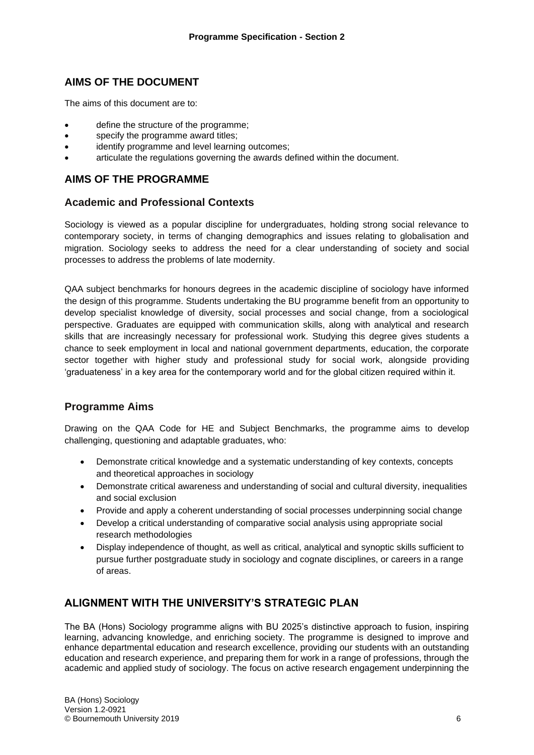# **AIMS OF THE DOCUMENT**

The aims of this document are to:

- define the structure of the programme;
- specify the programme award titles:
- identify programme and level learning outcomes;
- articulate the regulations governing the awards defined within the document.

# **AIMS OF THE PROGRAMME**

## **Academic and Professional Contexts**

Sociology is viewed as a popular discipline for undergraduates, holding strong social relevance to contemporary society, in terms of changing demographics and issues relating to globalisation and migration. Sociology seeks to address the need for a clear understanding of society and social processes to address the problems of late modernity.

QAA subject benchmarks for honours degrees in the academic discipline of sociology have informed the design of this programme. Students undertaking the BU programme benefit from an opportunity to develop specialist knowledge of diversity, social processes and social change, from a sociological perspective. Graduates are equipped with communication skills, along with analytical and research skills that are increasingly necessary for professional work. Studying this degree gives students a chance to seek employment in local and national government departments, education, the corporate sector together with higher study and professional study for social work, alongside providing 'graduateness' in a key area for the contemporary world and for the global citizen required within it.

# **Programme Aims**

Drawing on the QAA Code for HE and Subject Benchmarks, the programme aims to develop challenging, questioning and adaptable graduates, who:

- Demonstrate critical knowledge and a systematic understanding of key contexts, concepts and theoretical approaches in sociology
- Demonstrate critical awareness and understanding of social and cultural diversity, inequalities and social exclusion
- Provide and apply a coherent understanding of social processes underpinning social change
- Develop a critical understanding of comparative social analysis using appropriate social research methodologies
- Display independence of thought, as well as critical, analytical and synoptic skills sufficient to pursue further postgraduate study in sociology and cognate disciplines, or careers in a range of areas.

# **ALIGNMENT WITH THE UNIVERSITY'S STRATEGIC PLAN**

The BA (Hons) Sociology programme aligns with BU 2025's distinctive approach to fusion, inspiring learning, advancing knowledge, and enriching society. The programme is designed to improve and enhance departmental education and research excellence, providing our students with an outstanding education and research experience, and preparing them for work in a range of professions, through the academic and applied study of sociology. The focus on active research engagement underpinning the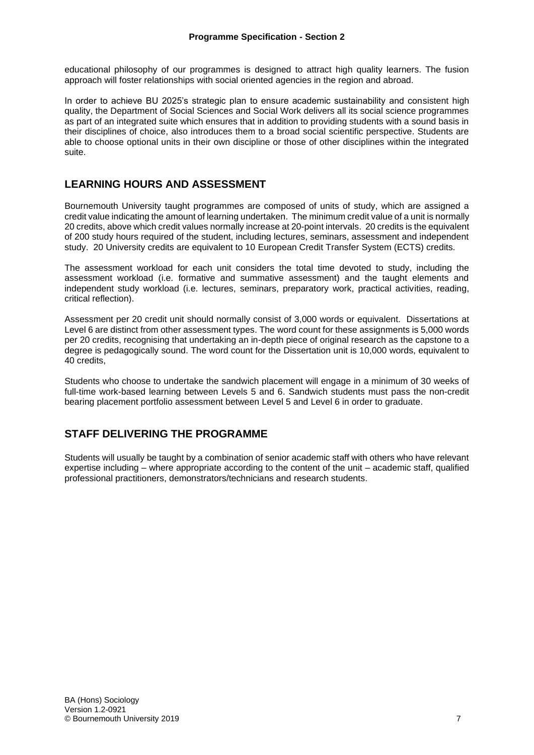educational philosophy of our programmes is designed to attract high quality learners. The fusion approach will foster relationships with social oriented agencies in the region and abroad.

In order to achieve BU 2025's strategic plan to ensure academic sustainability and consistent high quality, the Department of Social Sciences and Social Work delivers all its social science programmes as part of an integrated suite which ensures that in addition to providing students with a sound basis in their disciplines of choice, also introduces them to a broad social scientific perspective. Students are able to choose optional units in their own discipline or those of other disciplines within the integrated suite.

# **LEARNING HOURS AND ASSESSMENT**

Bournemouth University taught programmes are composed of units of study, which are assigned a credit value indicating the amount of learning undertaken. The minimum credit value of a unit is normally 20 credits, above which credit values normally increase at 20-point intervals. 20 credits is the equivalent of 200 study hours required of the student, including lectures, seminars, assessment and independent study. 20 University credits are equivalent to 10 European Credit Transfer System (ECTS) credits.

The assessment workload for each unit considers the total time devoted to study, including the assessment workload (i.e. formative and summative assessment) and the taught elements and independent study workload (i.e. lectures, seminars, preparatory work, practical activities, reading, critical reflection).

Assessment per 20 credit unit should normally consist of 3,000 words or equivalent. Dissertations at Level 6 are distinct from other assessment types. The word count for these assignments is 5,000 words per 20 credits, recognising that undertaking an in-depth piece of original research as the capstone to a degree is pedagogically sound. The word count for the Dissertation unit is 10,000 words, equivalent to 40 credits,

Students who choose to undertake the sandwich placement will engage in a minimum of 30 weeks of full-time work-based learning between Levels 5 and 6. Sandwich students must pass the non-credit bearing placement portfolio assessment between Level 5 and Level 6 in order to graduate.

# **STAFF DELIVERING THE PROGRAMME**

Students will usually be taught by a combination of senior academic staff with others who have relevant expertise including – where appropriate according to the content of the unit – academic staff, qualified professional practitioners, demonstrators/technicians and research students.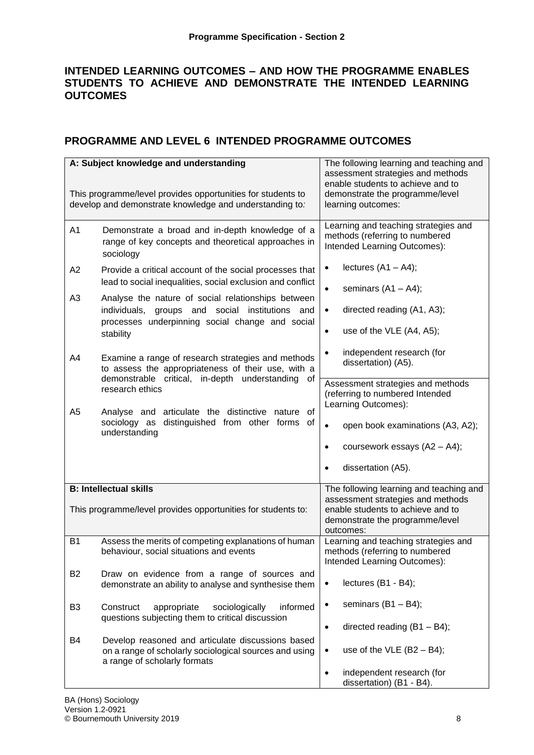# **INTENDED LEARNING OUTCOMES – AND HOW THE PROGRAMME ENABLES STUDENTS TO ACHIEVE AND DEMONSTRATE THE INTENDED LEARNING OUTCOMES**

# **PROGRAMME AND LEVEL 6 INTENDED PROGRAMME OUTCOMES**

|                | A: Subject knowledge and understanding                                                                                                      | The following learning and teaching and<br>assessment strategies and methods<br>enable students to achieve and to                                                 |
|----------------|---------------------------------------------------------------------------------------------------------------------------------------------|-------------------------------------------------------------------------------------------------------------------------------------------------------------------|
|                | This programme/level provides opportunities for students to<br>develop and demonstrate knowledge and understanding to:                      | demonstrate the programme/level<br>learning outcomes:                                                                                                             |
| A <sub>1</sub> | Demonstrate a broad and in-depth knowledge of a<br>range of key concepts and theoretical approaches in<br>sociology                         | Learning and teaching strategies and<br>methods (referring to numbered<br>Intended Learning Outcomes):                                                            |
| A2             | Provide a critical account of the social processes that<br>lead to social inequalities, social exclusion and conflict                       | lectures $(A1 - A4)$ ;<br>$\bullet$<br>$\bullet$                                                                                                                  |
| A3             | Analyse the nature of social relationships between<br>individuals, groups and social institutions and                                       | seminars $(A1 - A4)$ ;<br>directed reading (A1, A3);<br>$\bullet$                                                                                                 |
|                | processes underpinning social change and social<br>stability                                                                                | use of the VLE (A4, A5);<br>$\bullet$                                                                                                                             |
| A4             | Examine a range of research strategies and methods<br>to assess the appropriateness of their use, with a                                    | independent research (for<br>$\bullet$<br>dissertation) (A5).                                                                                                     |
|                | demonstrable critical, in-depth understanding of<br>research ethics                                                                         | Assessment strategies and methods<br>(referring to numbered Intended<br>Learning Outcomes):                                                                       |
| A5             | Analyse and articulate the distinctive nature<br>of<br>sociology as distinguished from other forms of<br>understanding                      | open book examinations (A3, A2);<br>$\bullet$                                                                                                                     |
|                |                                                                                                                                             | coursework essays (A2 - A4);<br>$\bullet$                                                                                                                         |
|                |                                                                                                                                             | dissertation (A5).<br>$\bullet$                                                                                                                                   |
|                | <b>B: Intellectual skills</b><br>This programme/level provides opportunities for students to:                                               | The following learning and teaching and<br>assessment strategies and methods<br>enable students to achieve and to<br>demonstrate the programme/level<br>outcomes: |
| <b>B1</b>      | Assess the merits of competing explanations of human<br>behaviour, social situations and events                                             | Learning and teaching strategies and<br>methods (referring to numbered<br>Intended Learning Outcomes):                                                            |
| <b>B2</b>      | Draw on evidence from a range of sources and<br>demonstrate an ability to analyse and synthesise them                                       | lectures (B1 - B4);<br>$\bullet$                                                                                                                                  |
| B <sub>3</sub> | informed<br>Construct<br>appropriate<br>sociologically<br>questions subjecting them to critical discussion                                  | seminars $(B1 - B4)$ ;<br>$\bullet$                                                                                                                               |
| B4             | Develop reasoned and articulate discussions based<br>on a range of scholarly sociological sources and using<br>a range of scholarly formats | directed reading $(B1 - B4)$ ;<br>$\bullet$<br>use of the VLE $(B2 - B4)$ ;<br>$\bullet$<br>independent research (for<br>$\bullet$<br>dissertation) (B1 - B4).    |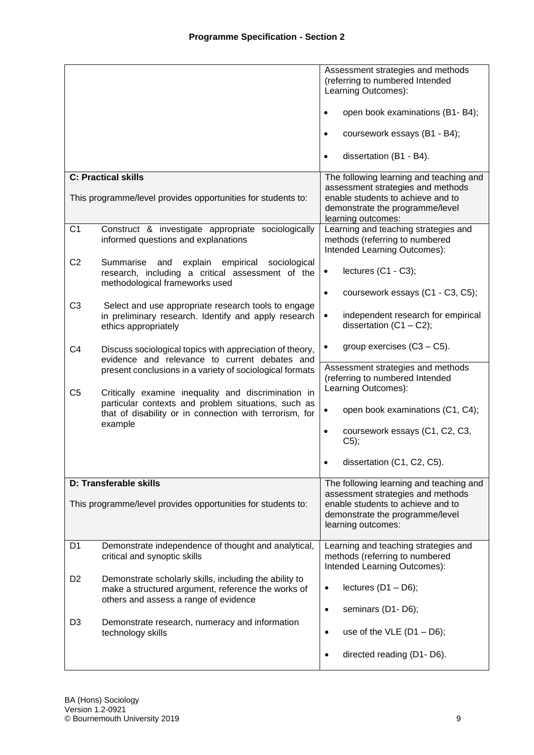|                |                                                                                                                                                       | Assessment strategies and methods<br>(referring to numbered Intended<br>Learning Outcomes):            |
|----------------|-------------------------------------------------------------------------------------------------------------------------------------------------------|--------------------------------------------------------------------------------------------------------|
|                |                                                                                                                                                       | open book examinations (B1- B4);<br>$\bullet$                                                          |
|                |                                                                                                                                                       | coursework essays (B1 - B4);<br>$\bullet$                                                              |
|                |                                                                                                                                                       | dissertation (B1 - B4).<br>$\bullet$                                                                   |
|                | <b>C: Practical skills</b>                                                                                                                            | The following learning and teaching and<br>assessment strategies and methods                           |
|                | This programme/level provides opportunities for students to:                                                                                          | enable students to achieve and to<br>demonstrate the programme/level<br>learning outcomes:             |
| C <sub>1</sub> | Construct & investigate appropriate sociologically<br>informed questions and explanations                                                             | Learning and teaching strategies and<br>methods (referring to numbered<br>Intended Learning Outcomes): |
| C <sub>2</sub> | Summarise<br>sociological<br>and<br>explain<br>empirical<br>research, including a critical assessment of the<br>methodological frameworks used        | lectures $(C1 - C3)$ ;<br>$\bullet$                                                                    |
| C <sub>3</sub> | Select and use appropriate research tools to engage                                                                                                   | coursework essays (C1 - C3, C5);<br>$\bullet$                                                          |
|                | in preliminary research. Identify and apply research<br>ethics appropriately                                                                          | independent research for empirical<br>$\bullet$<br>dissertation $(C1 - C2)$ ;                          |
| C <sub>4</sub> | Discuss sociological topics with appreciation of theory,<br>evidence and relevance to current debates and                                             | group exercises $(C3 - C5)$ .<br>$\bullet$                                                             |
| C <sub>5</sub> | present conclusions in a variety of sociological formats<br>Critically examine inequality and discrimination in                                       | Assessment strategies and methods<br>(referring to numbered Intended<br>Learning Outcomes):            |
|                | particular contexts and problem situations, such as<br>that of disability or in connection with terrorism, for                                        | open book examinations (C1, C4);<br>$\bullet$                                                          |
|                | example                                                                                                                                               | coursework essays (C1, C2, C3,<br>$\bullet$<br>$C5$ ;                                                  |
|                |                                                                                                                                                       | dissertation (C1, C2, C5).                                                                             |
|                | <b>D: Transferable skills</b>                                                                                                                         | The following learning and teaching and<br>assessment strategies and methods                           |
|                | This programme/level provides opportunities for students to:                                                                                          | enable students to achieve and to<br>demonstrate the programme/level<br>learning outcomes:             |
| D1             | Demonstrate independence of thought and analytical,<br>critical and synoptic skills                                                                   | Learning and teaching strategies and<br>methods (referring to numbered<br>Intended Learning Outcomes): |
| D <sub>2</sub> | Demonstrate scholarly skills, including the ability to<br>make a structured argument, reference the works of<br>others and assess a range of evidence | lectures $(D1 - D6)$ ;<br>$\bullet$                                                                    |
| D <sub>3</sub> |                                                                                                                                                       | seminars (D1-D6);<br>$\bullet$                                                                         |
|                | Demonstrate research, numeracy and information<br>technology skills                                                                                   | use of the VLE $(D1 - D6)$ ;<br>$\bullet$                                                              |
|                |                                                                                                                                                       | directed reading (D1-D6).<br>$\bullet$                                                                 |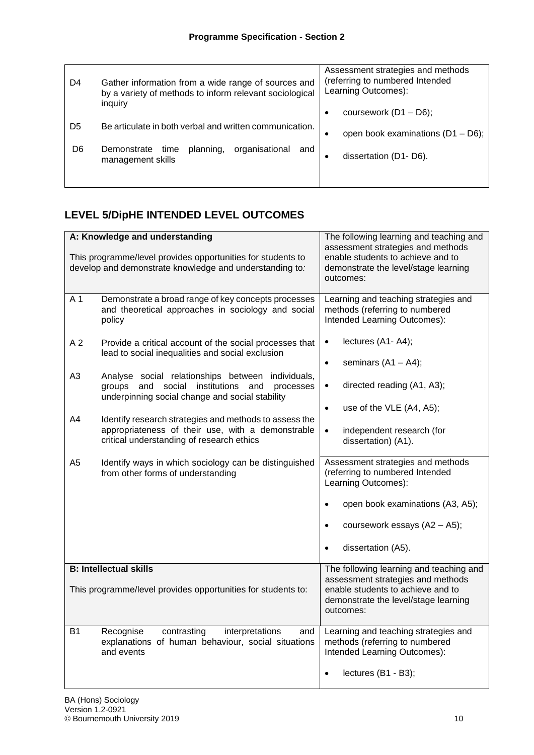| D4 | Gather information from a wide range of sources and<br>by a variety of methods to inform relevant sociological | Assessment strategies and methods<br>(referring to numbered Intended<br>Learning Outcomes): |
|----|----------------------------------------------------------------------------------------------------------------|---------------------------------------------------------------------------------------------|
|    | inquiry                                                                                                        | coursework $(D1 - D6)$ ;                                                                    |
| D5 | Be articulate in both verbal and written communication.                                                        | open book examinations $(D1 - D6)$ ;                                                        |
| D6 | planning,<br>organisational<br>Demonstrate<br>time<br>and<br>management skills                                 | dissertation (D1-D6).                                                                       |
|    |                                                                                                                |                                                                                             |

# **LEVEL 5/DipHE INTENDED LEVEL OUTCOMES**

|                | A: Knowledge and understanding<br>This programme/level provides opportunities for students to<br>develop and demonstrate knowledge and understanding to:      | The following learning and teaching and<br>assessment strategies and methods<br>enable students to achieve and to<br>demonstrate the level/stage learning<br>outcomes: |
|----------------|---------------------------------------------------------------------------------------------------------------------------------------------------------------|------------------------------------------------------------------------------------------------------------------------------------------------------------------------|
| A 1            | Demonstrate a broad range of key concepts processes<br>and theoretical approaches in sociology and social<br>policy                                           | Learning and teaching strategies and<br>methods (referring to numbered<br>Intended Learning Outcomes):                                                                 |
| A <sub>2</sub> | Provide a critical account of the social processes that<br>lead to social inequalities and social exclusion                                                   | lectures (A1-A4);<br>$\bullet$<br>seminars $(A1 - A4)$ ;<br>$\bullet$                                                                                                  |
| A <sub>3</sub> | Analyse social relationships between individuals,<br>and social institutions<br>and<br>groups<br>processes<br>underpinning social change and social stability | directed reading (A1, A3);<br>$\bullet$                                                                                                                                |
| A4             | Identify research strategies and methods to assess the<br>appropriateness of their use, with a demonstrable<br>critical understanding of research ethics      | use of the VLE (A4, A5);<br>$\bullet$<br>independent research (for<br>$\bullet$<br>dissertation) (A1).                                                                 |
| A <sub>5</sub> | Identify ways in which sociology can be distinguished<br>from other forms of understanding                                                                    | Assessment strategies and methods<br>(referring to numbered Intended<br>Learning Outcomes):                                                                            |
|                |                                                                                                                                                               | open book examinations (A3, A5);<br>$\bullet$                                                                                                                          |
|                |                                                                                                                                                               | coursework essays (A2 - A5);<br>$\bullet$                                                                                                                              |
|                |                                                                                                                                                               | dissertation (A5).<br>$\bullet$                                                                                                                                        |
|                | <b>B: Intellectual skills</b>                                                                                                                                 | The following learning and teaching and<br>assessment strategies and methods                                                                                           |
|                | This programme/level provides opportunities for students to:                                                                                                  | enable students to achieve and to<br>demonstrate the level/stage learning<br>outcomes:                                                                                 |
| B1             | interpretations<br>Recognise<br>contrasting<br>and<br>explanations of human behaviour, social situations<br>and events                                        | Learning and teaching strategies and<br>methods (referring to numbered<br>Intended Learning Outcomes):                                                                 |
|                |                                                                                                                                                               | lectures (B1 - B3);<br>$\bullet$                                                                                                                                       |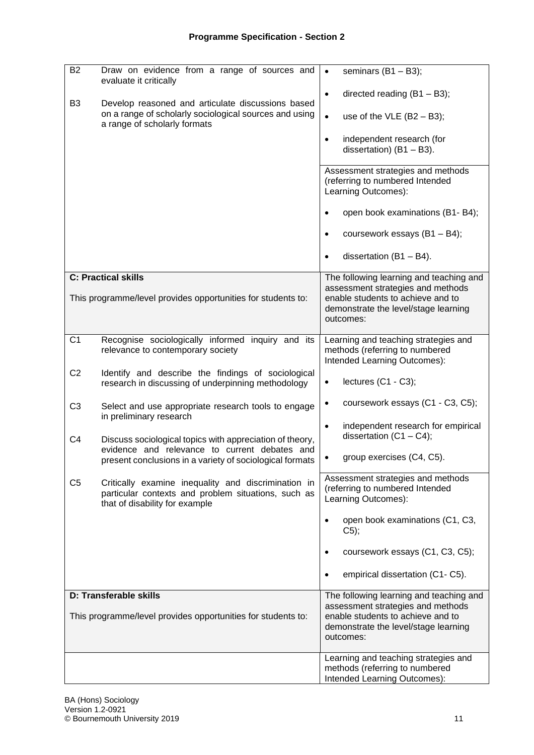| <b>B2</b>      | Draw on evidence from a range of sources and<br>evaluate it critically                                                                       | seminars $(B1 - B3)$ ;<br>$\bullet$                                                                                                                                    |
|----------------|----------------------------------------------------------------------------------------------------------------------------------------------|------------------------------------------------------------------------------------------------------------------------------------------------------------------------|
| B <sub>3</sub> | Develop reasoned and articulate discussions based<br>on a range of scholarly sociological sources and using<br>a range of scholarly formats  | directed reading $(B1 - B3)$ ;<br>$\bullet$<br>$\bullet$<br>use of the VLE $(B2 - B3)$ ;                                                                               |
|                |                                                                                                                                              | independent research (for<br>$\bullet$<br>dissertation) $(B1 - B3)$ .                                                                                                  |
|                |                                                                                                                                              | Assessment strategies and methods<br>(referring to numbered Intended<br>Learning Outcomes):                                                                            |
|                |                                                                                                                                              | open book examinations (B1- B4);<br>$\bullet$                                                                                                                          |
|                |                                                                                                                                              | coursework essays (B1 - B4);<br>$\bullet$                                                                                                                              |
|                |                                                                                                                                              | dissertation $(B1 - B4)$ .<br>$\bullet$                                                                                                                                |
|                | <b>C: Practical skills</b><br>This programme/level provides opportunities for students to:                                                   | The following learning and teaching and<br>assessment strategies and methods<br>enable students to achieve and to<br>demonstrate the level/stage learning<br>outcomes: |
| C <sub>1</sub> | Recognise sociologically informed inquiry and its<br>relevance to contemporary society                                                       | Learning and teaching strategies and<br>methods (referring to numbered<br>Intended Learning Outcomes):                                                                 |
| C <sub>2</sub> | Identify and describe the findings of sociological<br>research in discussing of underpinning methodology                                     | lectures (C1 - C3);<br>$\bullet$                                                                                                                                       |
| C <sub>3</sub> | Select and use appropriate research tools to engage<br>in preliminary research                                                               | coursework essays (C1 - C3, C5);<br>$\bullet$                                                                                                                          |
| C <sub>4</sub> | Discuss sociological topics with appreciation of theory,<br>evidence and relevance to current debates and                                    | independent research for empirical<br>$\bullet$<br>dissertation $(C1 - C4)$ ;                                                                                          |
|                | present conclusions in a variety of sociological formats                                                                                     | group exercises (C4, C5).<br>٠                                                                                                                                         |
| C <sub>5</sub> | Critically examine inequality and discrimination in<br>particular contexts and problem situations, such as<br>that of disability for example | Assessment strategies and methods<br>(referring to numbered Intended<br>Learning Outcomes):                                                                            |
|                |                                                                                                                                              | open book examinations (C1, C3,<br>$\bullet$<br>C5);                                                                                                                   |
|                |                                                                                                                                              | coursework essays (C1, C3, C5);                                                                                                                                        |
|                |                                                                                                                                              | empirical dissertation (C1- C5).<br>$\bullet$                                                                                                                          |
|                | D: Transferable skills                                                                                                                       | The following learning and teaching and<br>assessment strategies and methods                                                                                           |
|                | This programme/level provides opportunities for students to:                                                                                 | enable students to achieve and to<br>demonstrate the level/stage learning<br>outcomes:                                                                                 |
|                |                                                                                                                                              | Learning and teaching strategies and<br>methods (referring to numbered<br>Intended Learning Outcomes):                                                                 |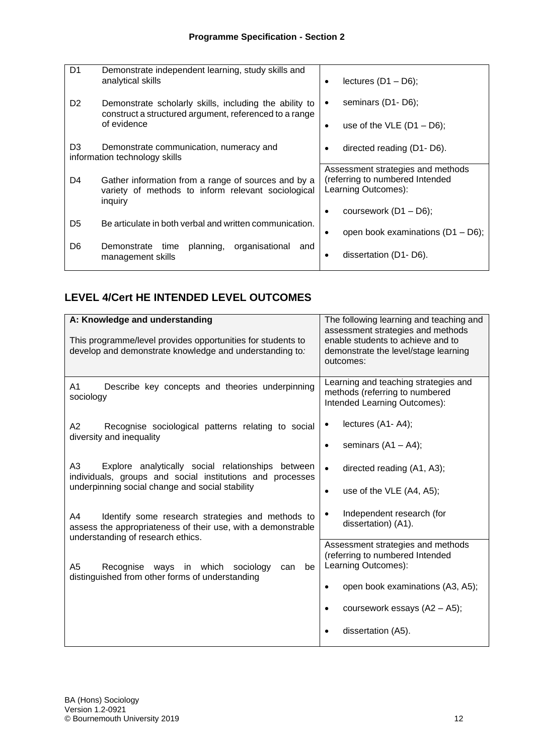| D <sub>1</sub> | Demonstrate independent learning, study skills and<br>analytical skills                                              | lectures $(D1 - D6)$ ;                                 |
|----------------|----------------------------------------------------------------------------------------------------------------------|--------------------------------------------------------|
| D <sub>2</sub> | Demonstrate scholarly skills, including the ability to<br>construct a structured argument, referenced to a range     | seminars (D1-D6);<br>٠                                 |
| of evidence    |                                                                                                                      | use of the VLE $(D1 - D6)$ ;                           |
| D <sub>3</sub> | Demonstrate communication, numeracy and<br>information technology skills                                             | directed reading (D1-D6).<br>٠                         |
|                |                                                                                                                      | Assessment strategies and methods                      |
| D4             | Gather information from a range of sources and by a<br>variety of methods to inform relevant sociological<br>inquiry | (referring to numbered Intended<br>Learning Outcomes): |
|                |                                                                                                                      | coursework $(D1 - D6)$ ;                               |
| D <sub>5</sub> | Be articulate in both verbal and written communication.                                                              | open book examinations (D1 - D6);<br>٠                 |
| D <sub>6</sub> | planning,<br>organisational<br>Demonstrate time<br>and<br>management skills                                          | dissertation (D1-D6).                                  |

# **LEVEL 4/Cert HE INTENDED LEVEL OUTCOMES**

| A: Knowledge and understanding                                                                                                                                          | The following learning and teaching and<br>assessment strategies and methods                                                    |
|-------------------------------------------------------------------------------------------------------------------------------------------------------------------------|---------------------------------------------------------------------------------------------------------------------------------|
| This programme/level provides opportunities for students to<br>develop and demonstrate knowledge and understanding to:                                                  | enable students to achieve and to<br>demonstrate the level/stage learning<br>outcomes:                                          |
| Describe key concepts and theories underpinning<br>A <sub>1</sub><br>sociology                                                                                          | Learning and teaching strategies and<br>methods (referring to numbered<br>Intended Learning Outcomes):                          |
| A2<br>Recognise sociological patterns relating to social<br>diversity and inequality                                                                                    | lectures (A1-A4);<br>٠<br>seminars $(A1 - A4)$ ;<br>$\bullet$                                                                   |
| A3<br>Explore analytically social relationships between<br>individuals, groups and social institutions and processes<br>underpinning social change and social stability | directed reading (A1, A3);<br>$\bullet$<br>use of the VLE (A4, A5);<br>٠                                                        |
| Identify some research strategies and methods to<br>A4<br>assess the appropriateness of their use, with a demonstrable<br>understanding of research ethics.             | Independent research (for<br>dissertation) (A1).                                                                                |
| A <sub>5</sub><br>Recognise ways in which<br>sociology<br>can<br>be<br>distinguished from other forms of understanding                                                  | Assessment strategies and methods<br>(referring to numbered Intended<br>Learning Outcomes):<br>open book examinations (A3, A5); |
|                                                                                                                                                                         | coursework essays $(A2 - A5)$ ;<br>dissertation (A5).                                                                           |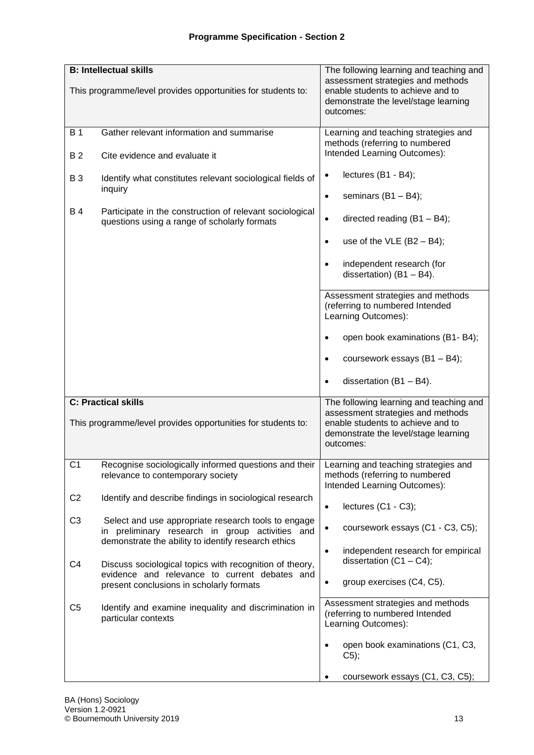|                | <b>B: Intellectual skills</b>                                                                                                                                 | The following learning and teaching and                                                                                                                                |  |  |  |  |  |  |  |  |  |  |
|----------------|---------------------------------------------------------------------------------------------------------------------------------------------------------------|------------------------------------------------------------------------------------------------------------------------------------------------------------------------|--|--|--|--|--|--|--|--|--|--|
|                | This programme/level provides opportunities for students to:                                                                                                  | assessment strategies and methods<br>enable students to achieve and to<br>demonstrate the level/stage learning<br>outcomes:                                            |  |  |  |  |  |  |  |  |  |  |
| <b>B</b> 1     | Gather relevant information and summarise                                                                                                                     | Learning and teaching strategies and                                                                                                                                   |  |  |  |  |  |  |  |  |  |  |
| <b>B2</b>      | Cite evidence and evaluate it                                                                                                                                 | methods (referring to numbered<br>Intended Learning Outcomes):                                                                                                         |  |  |  |  |  |  |  |  |  |  |
| <b>B3</b>      | Identify what constitutes relevant sociological fields of<br>inquiry                                                                                          | lectures (B1 - B4);<br>$\bullet$                                                                                                                                       |  |  |  |  |  |  |  |  |  |  |
|                |                                                                                                                                                               | seminars $(B1 - B4)$ ;<br>$\bullet$                                                                                                                                    |  |  |  |  |  |  |  |  |  |  |
| <b>B4</b>      | Participate in the construction of relevant sociological<br>questions using a range of scholarly formats                                                      | directed reading $(B1 - B4)$ ;<br>$\bullet$                                                                                                                            |  |  |  |  |  |  |  |  |  |  |
|                |                                                                                                                                                               | use of the VLE $(B2 - B4)$ ;<br>$\bullet$                                                                                                                              |  |  |  |  |  |  |  |  |  |  |
|                |                                                                                                                                                               | independent research (for<br>$\bullet$<br>dissertation) $(B1 - B4)$ .                                                                                                  |  |  |  |  |  |  |  |  |  |  |
|                |                                                                                                                                                               | Assessment strategies and methods<br>(referring to numbered Intended<br>Learning Outcomes):                                                                            |  |  |  |  |  |  |  |  |  |  |
|                |                                                                                                                                                               | open book examinations (B1- B4);                                                                                                                                       |  |  |  |  |  |  |  |  |  |  |
|                |                                                                                                                                                               | coursework essays (B1 - B4);<br>$\bullet$                                                                                                                              |  |  |  |  |  |  |  |  |  |  |
|                |                                                                                                                                                               | dissertation $(B1 - B4)$ .<br>$\bullet$                                                                                                                                |  |  |  |  |  |  |  |  |  |  |
|                | <b>C: Practical skills</b><br>This programme/level provides opportunities for students to:                                                                    | The following learning and teaching and<br>assessment strategies and methods<br>enable students to achieve and to<br>demonstrate the level/stage learning<br>outcomes: |  |  |  |  |  |  |  |  |  |  |
| C <sub>1</sub> | Recognise sociologically informed questions and their   Learning and teaching strategies and<br>relevance to contemporary society                             | methods (referring to numbered<br>Intended Learning Outcomes):                                                                                                         |  |  |  |  |  |  |  |  |  |  |
| C <sub>2</sub> | Identify and describe findings in sociological research                                                                                                       | lectures (C1 - C3);<br>$\bullet$                                                                                                                                       |  |  |  |  |  |  |  |  |  |  |
| C <sub>3</sub> | Select and use appropriate research tools to engage<br>in preliminary research in group activities and<br>demonstrate the ability to identify research ethics | coursework essays (C1 - C3, C5);<br>$\bullet$                                                                                                                          |  |  |  |  |  |  |  |  |  |  |
| C4             | Discuss sociological topics with recognition of theory,                                                                                                       | independent research for empirical<br>$\bullet$<br>dissertation $(C1 - C4)$ ;                                                                                          |  |  |  |  |  |  |  |  |  |  |
|                | evidence and relevance to current debates and<br>present conclusions in scholarly formats                                                                     | group exercises (C4, C5).<br>$\bullet$                                                                                                                                 |  |  |  |  |  |  |  |  |  |  |
| C <sub>5</sub> | Identify and examine inequality and discrimination in<br>particular contexts                                                                                  | Assessment strategies and methods<br>(referring to numbered Intended<br>Learning Outcomes):                                                                            |  |  |  |  |  |  |  |  |  |  |
|                |                                                                                                                                                               | open book examinations (C1, C3,<br>$\bullet$<br>$C5$ );                                                                                                                |  |  |  |  |  |  |  |  |  |  |
|                |                                                                                                                                                               | coursework essays (C1, C3, C5);                                                                                                                                        |  |  |  |  |  |  |  |  |  |  |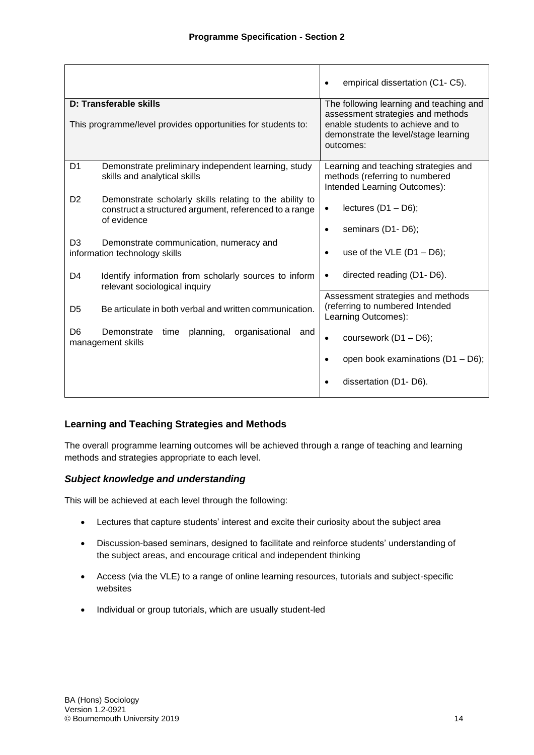|                                                                                                                                                    | empirical dissertation (C1-C5).                                                                                                                                        |
|----------------------------------------------------------------------------------------------------------------------------------------------------|------------------------------------------------------------------------------------------------------------------------------------------------------------------------|
| D: Transferable skills<br>This programme/level provides opportunities for students to:                                                             | The following learning and teaching and<br>assessment strategies and methods<br>enable students to achieve and to<br>demonstrate the level/stage learning<br>outcomes: |
| D <sub>1</sub><br>Demonstrate preliminary independent learning, study<br>skills and analytical skills                                              | Learning and teaching strategies and<br>methods (referring to numbered<br>Intended Learning Outcomes):                                                                 |
| D <sub>2</sub><br>Demonstrate scholarly skills relating to the ability to<br>construct a structured argument, referenced to a range<br>of evidence | lectures $(D1 - D6)$ ;<br>$\bullet$<br>seminars (D1-D6);<br>$\bullet$                                                                                                  |
| D <sub>3</sub><br>Demonstrate communication, numeracy and<br>information technology skills                                                         | use of the VLE $(D1 - D6)$ ;                                                                                                                                           |
| D <sub>4</sub><br>Identify information from scholarly sources to inform<br>relevant sociological inquiry                                           | directed reading (D1-D6).                                                                                                                                              |
| Be articulate in both verbal and written communication.<br>D <sub>5</sub>                                                                          | Assessment strategies and methods<br>(referring to numbered Intended<br>Learning Outcomes):                                                                            |
| D <sub>6</sub><br>Demonstrate<br>planning,<br>organisational<br>time<br>and<br>management skills                                                   | coursework (D1 - D6);                                                                                                                                                  |
|                                                                                                                                                    | open book examinations $(D1 - D6)$ ;                                                                                                                                   |
|                                                                                                                                                    | dissertation (D1-D6).                                                                                                                                                  |

# **Learning and Teaching Strategies and Methods**

The overall programme learning outcomes will be achieved through a range of teaching and learning methods and strategies appropriate to each level.

#### *Subject knowledge and understanding*

This will be achieved at each level through the following:

- Lectures that capture students' interest and excite their curiosity about the subject area
- Discussion-based seminars, designed to facilitate and reinforce students' understanding of the subject areas, and encourage critical and independent thinking
- Access (via the VLE) to a range of online learning resources, tutorials and subject-specific websites
- Individual or group tutorials, which are usually student-led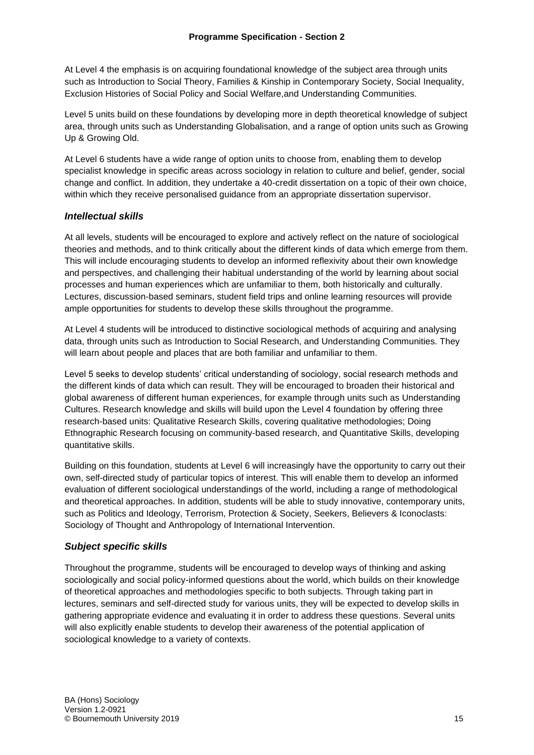At Level 4 the emphasis is on acquiring foundational knowledge of the subject area through units such as Introduction to Social Theory, Families & Kinship in Contemporary Society, Social Inequality, Exclusion Histories of Social Policy and Social Welfare,and Understanding Communities.

Level 5 units build on these foundations by developing more in depth theoretical knowledge of subject area, through units such as Understanding Globalisation, and a range of option units such as Growing Up & Growing Old.

At Level 6 students have a wide range of option units to choose from, enabling them to develop specialist knowledge in specific areas across sociology in relation to culture and belief, gender, social change and conflict. In addition, they undertake a 40-credit dissertation on a topic of their own choice, within which they receive personalised guidance from an appropriate dissertation supervisor.

## *Intellectual skills*

At all levels, students will be encouraged to explore and actively reflect on the nature of sociological theories and methods, and to think critically about the different kinds of data which emerge from them. This will include encouraging students to develop an informed reflexivity about their own knowledge and perspectives, and challenging their habitual understanding of the world by learning about social processes and human experiences which are unfamiliar to them, both historically and culturally. Lectures, discussion-based seminars, student field trips and online learning resources will provide ample opportunities for students to develop these skills throughout the programme.

At Level 4 students will be introduced to distinctive sociological methods of acquiring and analysing data, through units such as Introduction to Social Research, and Understanding Communities. They will learn about people and places that are both familiar and unfamiliar to them.

Level 5 seeks to develop students' critical understanding of sociology, social research methods and the different kinds of data which can result. They will be encouraged to broaden their historical and global awareness of different human experiences, for example through units such as Understanding Cultures. Research knowledge and skills will build upon the Level 4 foundation by offering three research-based units: Qualitative Research Skills, covering qualitative methodologies; Doing Ethnographic Research focusing on community-based research, and Quantitative Skills, developing quantitative skills.

Building on this foundation, students at Level 6 will increasingly have the opportunity to carry out their own, self-directed study of particular topics of interest. This will enable them to develop an informed evaluation of different sociological understandings of the world, including a range of methodological and theoretical approaches. In addition, students will be able to study innovative, contemporary units, such as Politics and Ideology, Terrorism, Protection & Society, Seekers, Believers & Iconoclasts: Sociology of Thought and Anthropology of International Intervention.

# *Subject specific skills*

Throughout the programme, students will be encouraged to develop ways of thinking and asking sociologically and social policy-informed questions about the world, which builds on their knowledge of theoretical approaches and methodologies specific to both subjects. Through taking part in lectures, seminars and self-directed study for various units, they will be expected to develop skills in gathering appropriate evidence and evaluating it in order to address these questions. Several units will also explicitly enable students to develop their awareness of the potential application of sociological knowledge to a variety of contexts.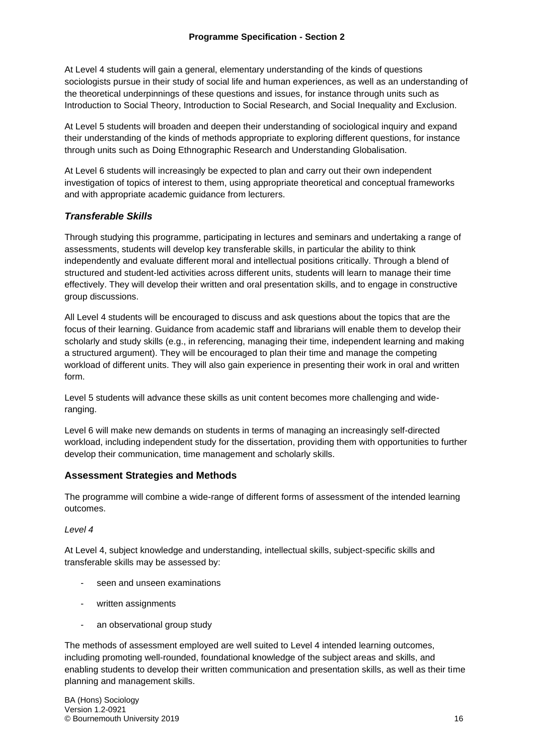At Level 4 students will gain a general, elementary understanding of the kinds of questions sociologists pursue in their study of social life and human experiences, as well as an understanding of the theoretical underpinnings of these questions and issues, for instance through units such as Introduction to Social Theory, Introduction to Social Research, and Social Inequality and Exclusion.

At Level 5 students will broaden and deepen their understanding of sociological inquiry and expand their understanding of the kinds of methods appropriate to exploring different questions, for instance through units such as Doing Ethnographic Research and Understanding Globalisation.

At Level 6 students will increasingly be expected to plan and carry out their own independent investigation of topics of interest to them, using appropriate theoretical and conceptual frameworks and with appropriate academic guidance from lecturers.

# *Transferable Skills*

Through studying this programme, participating in lectures and seminars and undertaking a range of assessments, students will develop key transferable skills, in particular the ability to think independently and evaluate different moral and intellectual positions critically. Through a blend of structured and student-led activities across different units, students will learn to manage their time effectively. They will develop their written and oral presentation skills, and to engage in constructive group discussions.

All Level 4 students will be encouraged to discuss and ask questions about the topics that are the focus of their learning. Guidance from academic staff and librarians will enable them to develop their scholarly and study skills (e.g., in referencing, managing their time, independent learning and making a structured argument). They will be encouraged to plan their time and manage the competing workload of different units. They will also gain experience in presenting their work in oral and written form.

Level 5 students will advance these skills as unit content becomes more challenging and wideranging.

Level 6 will make new demands on students in terms of managing an increasingly self-directed workload, including independent study for the dissertation, providing them with opportunities to further develop their communication, time management and scholarly skills.

#### **Assessment Strategies and Methods**

The programme will combine a wide-range of different forms of assessment of the intended learning outcomes.

#### *Level 4*

At Level 4, subject knowledge and understanding, intellectual skills, subject-specific skills and transferable skills may be assessed by:

- seen and unseen examinations
- written assignments
- an observational group study

The methods of assessment employed are well suited to Level 4 intended learning outcomes, including promoting well-rounded, foundational knowledge of the subject areas and skills, and enabling students to develop their written communication and presentation skills, as well as their time planning and management skills.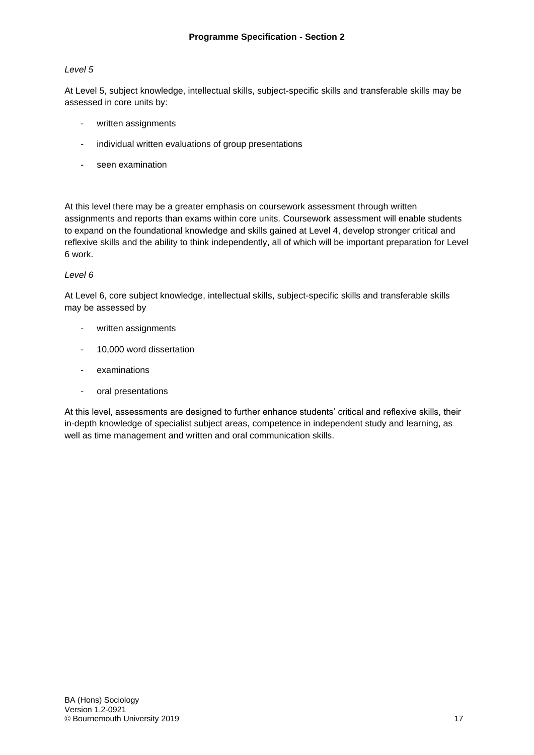#### *Level 5*

At Level 5, subject knowledge, intellectual skills, subject-specific skills and transferable skills may be assessed in core units by:

- written assignments
- individual written evaluations of group presentations
- seen examination

At this level there may be a greater emphasis on coursework assessment through written assignments and reports than exams within core units. Coursework assessment will enable students to expand on the foundational knowledge and skills gained at Level 4, develop stronger critical and reflexive skills and the ability to think independently, all of which will be important preparation for Level 6 work.

#### *Level 6*

At Level 6, core subject knowledge, intellectual skills, subject-specific skills and transferable skills may be assessed by

- written assignments
- 10,000 word dissertation
- examinations
- oral presentations

At this level, assessments are designed to further enhance students' critical and reflexive skills, their in-depth knowledge of specialist subject areas, competence in independent study and learning, as well as time management and written and oral communication skills.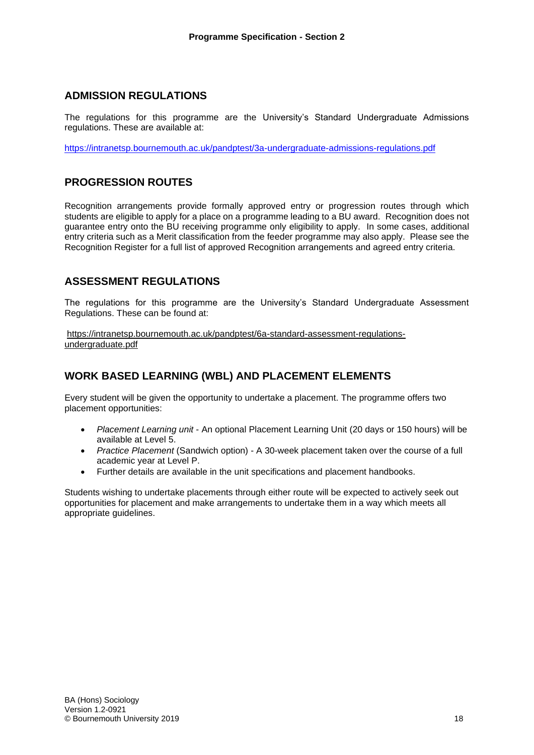## **ADMISSION REGULATIONS**

The regulations for this programme are the University's Standard Undergraduate Admissions regulations. These are available at:

<https://intranetsp.bournemouth.ac.uk/pandptest/3a-undergraduate-admissions-regulations.pdf>

# **PROGRESSION ROUTES**

Recognition arrangements provide formally approved entry or progression routes through which students are eligible to apply for a place on a programme leading to a BU award. Recognition does not guarantee entry onto the BU receiving programme only eligibility to apply. In some cases, additional entry criteria such as a Merit classification from the feeder programme may also apply. Please see the Recognition Register for a full list of approved Recognition arrangements and agreed entry criteria.

# **ASSESSMENT REGULATIONS**

The regulations for this programme are the University's Standard Undergraduate Assessment Regulations. These can be found at:

[https://intranetsp.bournemouth.ac.uk/pandptest/6a-standard-assessment-regulations](https://intranetsp.bournemouth.ac.uk/pandptest/6a-standard-assessment-regulations-undergraduate.pdf)[undergraduate.pdf](https://intranetsp.bournemouth.ac.uk/pandptest/6a-standard-assessment-regulations-undergraduate.pdf)

# **WORK BASED LEARNING (WBL) AND PLACEMENT ELEMENTS**

Every student will be given the opportunity to undertake a placement. The programme offers two placement opportunities:

- *Placement Learning unit* An optional Placement Learning Unit (20 days or 150 hours) will be available at Level 5.
- *Practice Placement* (Sandwich option) A 30-week placement taken over the course of a full academic year at Level P.
- Further details are available in the unit specifications and placement handbooks.

Students wishing to undertake placements through either route will be expected to actively seek out opportunities for placement and make arrangements to undertake them in a way which meets all appropriate guidelines.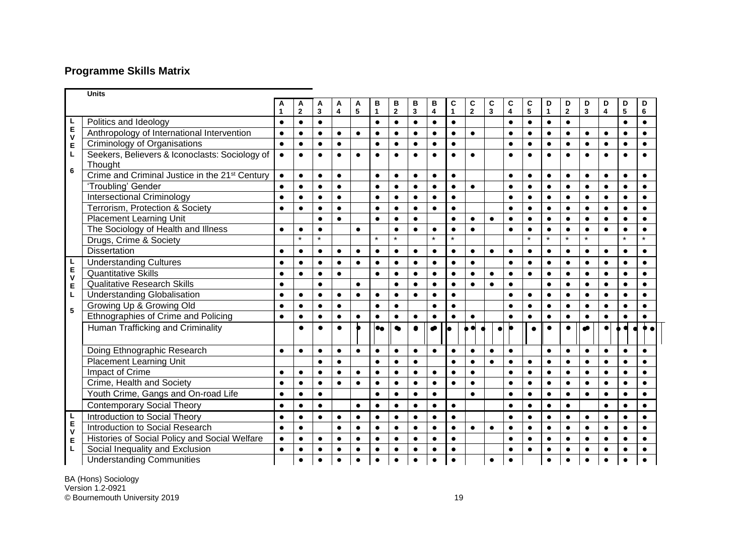# **Programme Skills Matrix**

|                  | <b>Units</b>                                               |           |                |                         |                         |           |              |                         |              |                         |                |                         |                |                         |           |              |                         |                         |                         |                 |           |
|------------------|------------------------------------------------------------|-----------|----------------|-------------------------|-------------------------|-----------|--------------|-------------------------|--------------|-------------------------|----------------|-------------------------|----------------|-------------------------|-----------|--------------|-------------------------|-------------------------|-------------------------|-----------------|-----------|
|                  |                                                            |           | A              | A                       | A                       | A         | в            | В                       | в            | в                       | C              | C                       | C              | C                       | C         | D            | D                       | D                       | D                       | D               | D         |
|                  |                                                            |           | $\overline{2}$ | $\overline{\mathbf{3}}$ | $\overline{\mathbf{4}}$ | 5         | $\mathbf{1}$ | $\overline{\mathbf{2}}$ | $\mathbf{3}$ | $\overline{\mathbf{4}}$ | $\overline{1}$ | $\overline{\mathbf{2}}$ | $\overline{3}$ | $\overline{\mathbf{4}}$ | 5         | $\mathbf{1}$ | $\overline{\mathbf{2}}$ | $\overline{\mathbf{3}}$ | $\overline{\mathbf{4}}$ | $5\phantom{.0}$ | 6         |
|                  | Politics and Ideology                                      | $\bullet$ | $\bullet$      | $\bullet$               |                         |           | $\bullet$    | $\bullet$               | $\bullet$    | $\bullet$               | $\bullet$      |                         |                | $\bullet$               | $\bullet$ | $\bullet$    | $\bullet$               |                         |                         | $\bullet$       | $\bullet$ |
| L<br>E<br>V      | Anthropology of International Intervention                 | $\bullet$ | $\bullet$      | $\bullet$               | $\bullet$               | $\bullet$ | $\bullet$    | $\bullet$               | $\bullet$    | $\bullet$               | $\bullet$      | $\bullet$               |                | $\bullet$               | $\bullet$ | $\bullet$    | $\bullet$               | $\bullet$               | $\bullet$               | $\bullet$       | $\bullet$ |
| E                | Criminology of Organisations                               | $\bullet$ | $\bullet$      | $\bullet$               | $\bullet$               |           | $\bullet$    | $\bullet$               | $\bullet$    | $\bullet$               | $\bullet$      |                         |                | $\bullet$               | $\bullet$ | $\bullet$    | $\bullet$               | $\bullet$               | $\bullet$               | $\bullet$       | $\bullet$ |
| L                | Seekers, Believers & Iconoclasts: Sociology of<br>Thought  | $\bullet$ | $\bullet$      | $\bullet$               | $\bullet$               |           |              | $\bullet$               |              | $\bullet$               | $\bullet$      | $\bullet$               |                |                         | $\bullet$ | $\bullet$    | $\bullet$               | $\bullet$               |                         | $\bullet$       |           |
| 6                | Crime and Criminal Justice in the 21 <sup>st</sup> Century | $\bullet$ | $\bullet$      | $\bullet$               | $\bullet$               |           | $\bullet$    | $\bullet$               | $\bullet$    | $\bullet$               | $\bullet$      |                         |                | $\bullet$               | $\bullet$ | $\bullet$    | $\bullet$               | $\bullet$               | $\bullet$               | $\bullet$       | $\bullet$ |
|                  | 'Troubling' Gender                                         | $\bullet$ | $\bullet$      | $\bullet$               | $\bullet$               |           | $\bullet$    | $\bullet$               | $\bullet$    | $\bullet$               | $\bullet$      | $\bullet$               |                | $\bullet$               | $\bullet$ | $\bullet$    | $\bullet$               | $\bullet$               | $\bullet$               | $\bullet$       | $\bullet$ |
|                  | <b>Intersectional Criminology</b>                          | $\bullet$ | $\bullet$      | $\bullet$               | $\bullet$               |           | $\bullet$    | $\bullet$               | $\bullet$    | $\bullet$               | $\bullet$      |                         |                | $\bullet$               | $\bullet$ | $\bullet$    | $\bullet$               | $\bullet$               | $\bullet$               | $\bullet$       | $\bullet$ |
|                  | Terrorism, Protection & Society                            | $\bullet$ | $\bullet$      | $\bullet$               | $\bullet$               |           | $\bullet$    | $\bullet$               | $\bullet$    | $\bullet$               | $\bullet$      |                         |                | $\bullet$               | $\bullet$ | $\bullet$    | $\bullet$               | $\bullet$               | $\bullet$               | $\bullet$       | $\bullet$ |
|                  | <b>Placement Learning Unit</b>                             |           |                | $\bullet$               | $\bullet$               |           | $\bullet$    | $\bullet$               | $\bullet$    |                         | $\bullet$      | $\bullet$               | $\bullet$      | $\bullet$               | $\bullet$ | $\bullet$    | $\bullet$               | $\bullet$               | $\bullet$               | $\bullet$       | $\bullet$ |
|                  | The Sociology of Health and Illness                        | $\bullet$ | $\bullet$      | $\bullet$               |                         | $\bullet$ |              | $\bullet$               | $\bullet$    | $\bullet$               | $\bullet$      | $\bullet$               |                | $\bullet$               | $\bullet$ | $\bullet$    | $\bullet$               | $\bullet$               |                         | $\bullet$       | $\bullet$ |
|                  | Drugs, Crime & Society                                     |           | $\star$        | $\star$                 |                         |           | $\star$      | $\star$                 |              | $\star$                 | $\star$        |                         |                |                         | $\star$   | $\star$      | $\star$                 | $\star$                 |                         | $\star$         | $\star$   |
|                  | <b>Dissertation</b>                                        | $\bullet$ | $\bullet$      | $\bullet$               | $\bullet$               | $\bullet$ | $\bullet$    | $\bullet$               | $\bullet$    | $\bullet$               | $\bullet$      | $\bullet$               | $\bullet$      | $\bullet$               | $\bullet$ | $\bullet$    | $\bullet$               | $\bullet$               | $\bullet$               | $\bullet$       | $\bullet$ |
|                  | <b>Understanding Cultures</b>                              | $\bullet$ | $\bullet$      | $\bullet$               | $\bullet$               | $\bullet$ | $\bullet$    | $\bullet$               | $\bullet$    | $\bullet$               | $\bullet$      | $\bullet$               |                | $\bullet$               | $\bullet$ | $\bullet$    | $\bullet$               | $\bullet$               | $\bullet$               | $\bullet$       | $\bullet$ |
| L<br>E<br>V      | <b>Quantitative Skills</b>                                 | $\bullet$ | $\bullet$      | $\bullet$               | $\bullet$               |           | $\bullet$    | $\bullet$               | $\bullet$    | $\bullet$               | $\bullet$      | $\bullet$               | $\bullet$      | $\bullet$               | $\bullet$ | $\bullet$    | $\bullet$               | $\bullet$               | $\bullet$               | $\bullet$       | $\bullet$ |
| E                | <b>Qualitative Research Skills</b>                         | $\bullet$ |                | $\bullet$               |                         | $\bullet$ |              | $\bullet$               | $\bullet$    | $\bullet$               | $\bullet$      | $\bullet$               | $\bullet$      | $\bullet$               |           | $\bullet$    | $\bullet$               | $\bullet$               | $\bullet$               | $\bullet$       | $\bullet$ |
| L                | <b>Understanding Globalisation</b>                         | $\bullet$ | $\bullet$      | $\bullet$               | $\bullet$               | $\bullet$ | $\bullet$    | $\bullet$               | $\bullet$    | $\bullet$               | $\bullet$      |                         |                | $\bullet$               | $\bullet$ | $\bullet$    | $\bullet$               | $\bullet$               |                         | $\bullet$       | $\bullet$ |
| 5                | Growing Up & Growing Old                                   | $\bullet$ | $\bullet$      | $\bullet$               | $\bullet$               |           | $\bullet$    | $\bullet$               |              | $\bullet$               | $\bullet$      |                         |                | $\bullet$               | $\bullet$ | $\bullet$    | $\bullet$               | $\bullet$               | $\bullet$               | $\bullet$       | $\bullet$ |
|                  | Ethnographies of Crime and Policing                        | $\bullet$ | $\bullet$      | $\bullet$               | $\bullet$               |           | $\bullet$    | $\bullet$               | $\bullet$    | $\bullet$               | $\bullet$      | $\bullet$               |                | $\bullet$               | $\bullet$ | $\bullet$    | $\bullet$               | $\bullet$               |                         | $\bullet$       |           |
|                  | Human Trafficking and Criminality                          |           | $\bullet$      | $\bullet$               | $\bullet$               |           | $\bullet$    | $\bullet$               | $\bullet$    | $\bullet$               | lo             |                         | $\epsilon$     |                         |           | $\bullet$    | $\bullet$               |                         |                         |                 |           |
|                  | Doing Ethnographic Research                                | $\bullet$ | $\bullet$      | $\bullet$               | $\bullet$               | $\bullet$ | $\bullet$    | $\bullet$               | $\bullet$    | $\bullet$               | $\bullet$      | $\bullet$               | $\bullet$      | $\bullet$               |           | $\bullet$    | $\bullet$               | $\bullet$               | $\bullet$               | $\bullet$       | $\bullet$ |
|                  | <b>Placement Learning Unit</b>                             |           |                | $\bullet$               | $\bullet$               |           | $\bullet$    | $\bullet$               | $\bullet$    |                         | $\bullet$      | $\bullet$               | $\bullet$      | $\bullet$               | $\bullet$ | $\bullet$    | $\bullet$               | $\bullet$               | $\bullet$               | $\bullet$       | $\bullet$ |
|                  | Impact of Crime                                            | $\bullet$ | $\bullet$      | $\bullet$               | $\bullet$               | $\bullet$ | $\bullet$    | $\bullet$               | $\bullet$    | $\bullet$               | $\bullet$      | $\bullet$               |                | $\bullet$               | $\bullet$ | $\bullet$    | $\bullet$               | $\bullet$               | $\bullet$               | $\bullet$       | $\bullet$ |
|                  | Crime, Health and Society                                  | $\bullet$ | $\bullet$      | $\bullet$               | $\bullet$               | $\bullet$ | $\bullet$    | $\bullet$               | $\bullet$    | $\bullet$               | $\bullet$      | $\bullet$               |                | $\bullet$               | $\bullet$ | $\bullet$    | $\bullet$               | $\bullet$               | $\bullet$               | $\bullet$       | $\bullet$ |
|                  | Youth Crime, Gangs and On-road Life                        | $\bullet$ | $\bullet$      | $\bullet$               |                         |           | $\bullet$    | $\bullet$               | $\bullet$    | $\bullet$               |                | $\bullet$               |                | $\bullet$               | $\bullet$ | $\bullet$    | $\bullet$               | $\bullet$               | $\bullet$               | $\bullet$       | $\bullet$ |
|                  | <b>Contemporary Social Theory</b>                          | $\bullet$ | $\bullet$      | $\bullet$               |                         | $\bullet$ | $\bullet$    | $\bullet$               | $\bullet$    | $\bullet$               | $\bullet$      |                         |                | $\bullet$               | $\bullet$ | $\bullet$    | $\bullet$               |                         | $\bullet$               | $\bullet$       | $\bullet$ |
| L<br>E<br>V<br>E | Introduction to Social Theory                              | $\bullet$ | $\bullet$      | $\bullet$               | $\bullet$               | $\bullet$ | $\bullet$    | $\bullet$               | $\bullet$    | $\bullet$               | $\bullet$      |                         |                | $\bullet$               | $\bullet$ | $\bullet$    | $\bullet$               | $\bullet$               | $\bullet$               | $\bullet$       | $\bullet$ |
|                  | Introduction to Social Research                            | $\bullet$ | $\bullet$      |                         | $\bullet$               | $\bullet$ | $\bullet$    | $\bullet$               | $\bullet$    | $\bullet$               | $\bullet$      | $\bullet$               | $\bullet$      | $\bullet$               | $\bullet$ | $\bullet$    | $\bullet$               | $\bullet$               | $\bullet$               | $\bullet$       | $\bullet$ |
|                  | Histories of Social Policy and Social Welfare              | $\bullet$ | $\bullet$      | $\bullet$               | $\bullet$               | $\bullet$ | $\bullet$    | $\bullet$               | $\bullet$    | $\bullet$               | $\bullet$      |                         |                | $\bullet$               | $\bullet$ | $\bullet$    | $\bullet$               | $\bullet$               | $\bullet$               | $\bullet$       | $\bullet$ |
| L                | Social Inequality and Exclusion                            | $\bullet$ | $\bullet$      | $\bullet$               | $\bullet$               | $\bullet$ | $\bullet$    | $\bullet$               | $\bullet$    | $\bullet$               | $\bullet$      |                         |                | $\bullet$               | $\bullet$ | $\bullet$    | $\bullet$               | $\bullet$               | $\bullet$               | $\bullet$       | $\bullet$ |
|                  | <b>Understanding Communities</b>                           |           | $\bullet$      | $\bullet$               | $\bullet$               |           | $\bullet$    | $\bullet$               |              | $\bullet$               | $\bullet$      |                         | $\bullet$      | $\bullet$               |           | $\bullet$    | $\bullet$               | $\bullet$               | $\bullet$               | $\bullet$       | $\bullet$ |

BA (Hons) Sociology Version 1 . 2 -092 1 © Bournemouth University 2019 19